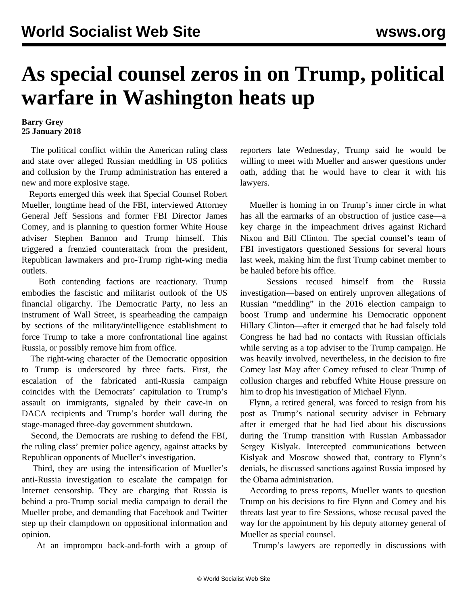## **As special counsel zeros in on Trump, political warfare in Washington heats up**

## **Barry Grey 25 January 2018**

 The political conflict within the American ruling class and state over alleged Russian meddling in US politics and collusion by the Trump administration has entered a new and more explosive stage.

 Reports emerged this week that Special Counsel Robert Mueller, longtime head of the FBI, interviewed Attorney General Jeff Sessions and former FBI Director James Comey, and is planning to question former White House adviser Stephen Bannon and Trump himself. This triggered a frenzied counterattack from the president, Republican lawmakers and pro-Trump right-wing media outlets.

 Both contending factions are reactionary. Trump embodies the fascistic and militarist outlook of the US financial oligarchy. The Democratic Party, no less an instrument of Wall Street, is spearheading the campaign by sections of the military/intelligence establishment to force Trump to take a more confrontational line against Russia, or possibly remove him from office.

 The right-wing character of the Democratic opposition to Trump is underscored by three facts. First, the escalation of the fabricated anti-Russia campaign coincides with the Democrats' capitulation to Trump's assault on immigrants, signaled by their cave-in on DACA recipients and Trump's border wall during the stage-managed three-day government shutdown.

 Second, the Democrats are rushing to defend the FBI, the ruling class' premier police agency, against attacks by Republican opponents of Mueller's investigation.

 Third, they are using the intensification of Mueller's anti-Russia investigation to escalate the campaign for Internet censorship. They are charging that Russia is behind a pro-Trump social media campaign to derail the Mueller probe, and demanding that Facebook and [Twitter](/en/articles/2018/01/25/requ-j25) step up their clampdown on oppositional information and opinion.

At an impromptu back-and-forth with a group of

reporters late Wednesday, Trump said he would be willing to meet with Mueller and answer questions under oath, adding that he would have to clear it with his lawyers.

 Mueller is homing in on Trump's inner circle in what has all the earmarks of an obstruction of justice case—a key charge in the impeachment drives against Richard Nixon and Bill Clinton. The special counsel's team of FBI investigators questioned Sessions for several hours last week, making him the first Trump cabinet member to be hauled before his office.

 Sessions recused himself from the Russia investigation—based on entirely unproven allegations of Russian "meddling" in the 2016 election campaign to boost Trump and undermine his Democratic opponent Hillary Clinton—after it emerged that he had falsely told Congress he had had no contacts with Russian officials while serving as a top adviser to the Trump campaign. He was heavily involved, nevertheless, in the decision to fire Comey last May after Comey refused to clear Trump of collusion charges and rebuffed White House pressure on him to drop his investigation of Michael Flynn.

 Flynn, a retired general, was forced to resign from his post as Trump's national security adviser in February after it emerged that he had lied about his discussions during the Trump transition with Russian Ambassador Sergey Kislyak. Intercepted communications between Kislyak and Moscow showed that, contrary to Flynn's denials, he discussed sanctions against Russia imposed by the Obama administration.

 According to press reports, Mueller wants to question Trump on his decisions to fire Flynn and Comey and his threats last year to fire Sessions, whose recusal paved the way for the appointment by his deputy attorney general of Mueller as special counsel.

Trump's lawyers are reportedly in discussions with